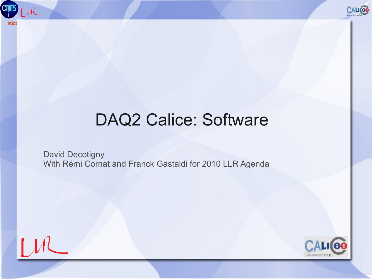



#### DAQ2 Calice: Software

David Decotigny With Rémi Cornat and Franck Gastaldi for 2010 LLR Agenda

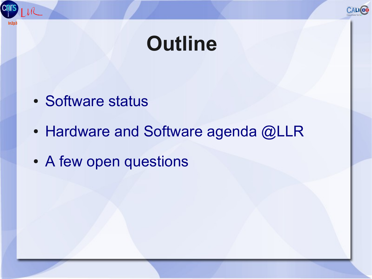

#### **Outline**

- Software status
- Hardware and Software agenda @LLR
- A few open questions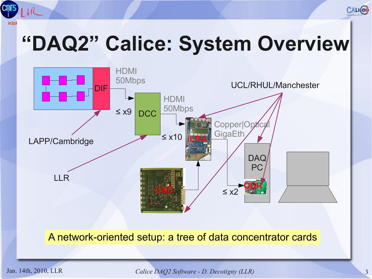

## **"DAQ2" Calice: System Overview**



#### A network-oriented setup: a tree of data concentrator cards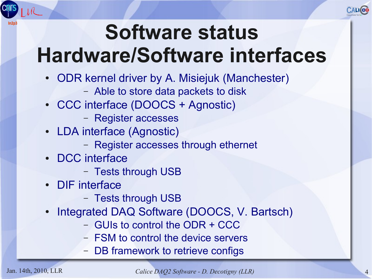

## **Software status Hardware/Software interfaces**

- ODR kernel driver by A. Misiejuk (Manchester)
	- Able to store data packets to disk
- CCC interface (DOOCS + Agnostic)
	- Register accesses
- LDA interface (Agnostic)
	- Register accesses through ethernet
- DCC interface
	- Tests through USB
- DIF interface
	- Tests through USB
- Integrated DAQ Software (DOOCS, V. Bartsch)
	- GUIs to control the ODR + CCC
	- FSM to control the device servers
	- DB framework to retrieve configs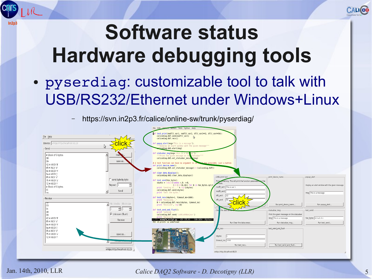

Jan. 14th, 2010, LLR *Calice DAQ2 Software - D. Decotigny (LLR)* 5

xmlrpc:http://localhost:8123

xmlrpc:http://localhost:8123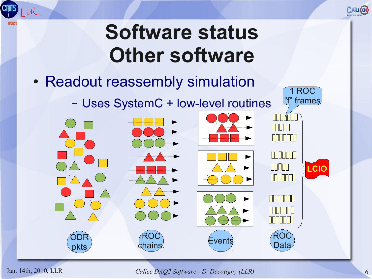

1 ROC

"f" frames

#### **Software status Other software**

- Readout reassembly simulation
	- Uses SystemC + low-level routines



 $ln2r$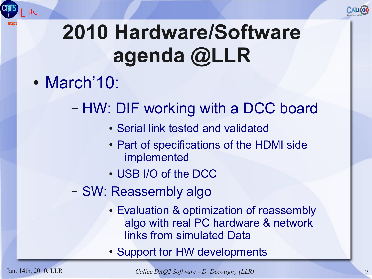

## **2010 Hardware/Software agenda @LLR**

- March'10:
	- HW: DIF working with a DCC board
		- Serial link tested and validated
		- Part of specifications of the HDMI side implemented
		- USB I/O of the DCC
	- SW: Reassembly algo
		- Evaluation & optimization of reassembly algo with real PC hardware & network links from simulated Data
		- Support for HW developments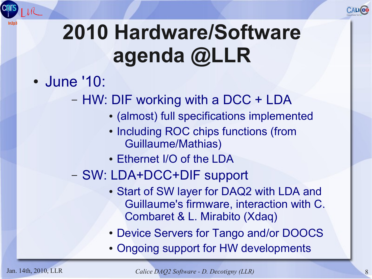

#### **2010 Hardware/Software agenda @LLR**

- June '10:
	- HW: DIF working with a DCC + LDA
		- (almost) full specifications implemented
		- Including ROC chips functions (from Guillaume/Mathias)
		- Ethernet I/O of the LDA
	- SW: LDA+DCC+DIF support
		- Start of SW layer for DAQ2 with LDA and Guillaume's firmware, interaction with C. Combaret & L. Mirabito (Xdaq)
		- Device Servers for Tango and/or DOOCS
		- Ongoing support for HW developments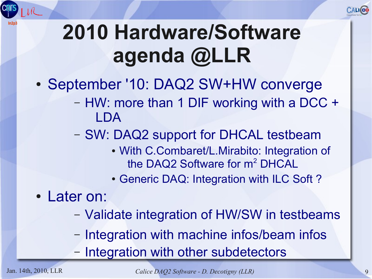

#### **2010 Hardware/Software agenda @LLR**

- September '10: DAQ2 SW+HW converge
	- HW: more than 1 DIF working with a DCC + LDA
	- SW: DAQ2 support for DHCAL testbeam
		- With C.Combaret/L.Mirabito: Integration of the DAQ2 Software for m<sup>2</sup> DHCAL
		- Generic DAQ: Integration with ILC Soft?
- Later on:
	- Validate integration of HW/SW in testbeams
	- Integration with machine infos/beam infos
	- Integration with other subdetectors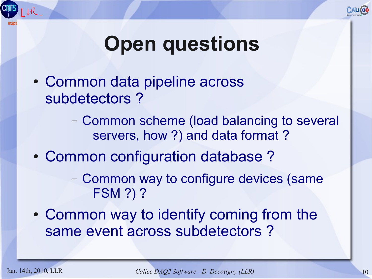

#### **Open questions**

• Common data pipeline across subdetectors ?

> – Common scheme (load balancing to several servers, how ?) and data format ?

• Common configuration database?

– Common way to configure devices (same FSM ?) ?

• Common way to identify coming from the same event across subdetectors ?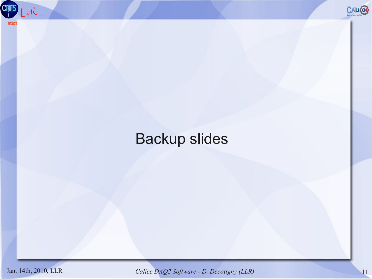



#### Backup slides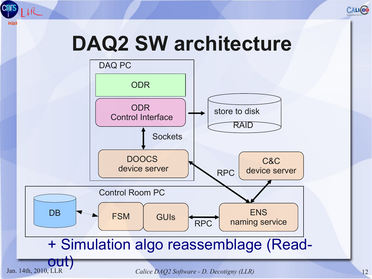

#### **DAQ2 SW architecture**

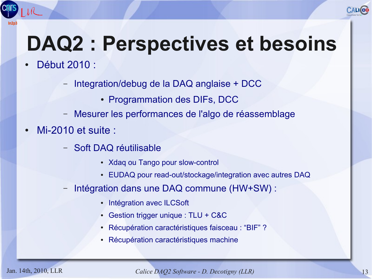## **DAQ2 : Perspectives et besoins**

- Début 2010 :
	- Integration/debug de la DAQ anglaise + DCC
		- Programmation des DIFs, DCC
	- Mesurer les performances de l'algo de réassemblage
- Mi-2010 et suite :
	- Soft DAQ réutilisable
		- Xdaq ou Tango pour slow-control
		- EUDAQ pour read-out/stockage/integration avec autres DAQ
	- Intégration dans une DAQ commune (HW+SW) :
		- Intégration avec ILCSoft
		- Gestion trigger unique :  $TLU + C&C$
		- Récupération caractéristiques faisceau : "BIF" ?
		- Récupération caractéristiques machine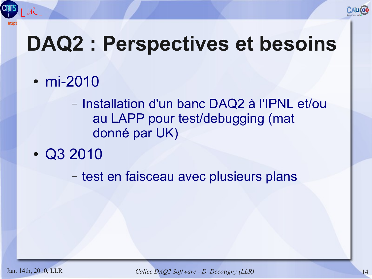

#### **DAQ2 : Perspectives et besoins**

- mi-2010
	- Installation d'un banc DAQ2 à l'IPNL et/ou au LAPP pour test/debugging (mat donné par UK)
- $\cdot$  Q3 2010

– test en faisceau avec plusieurs plans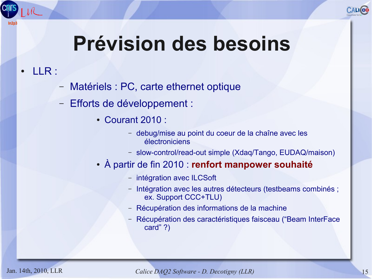

#### **Prévision des besoins**

- LLR :
	- Matériels : PC, carte ethernet optique
	- Efforts de développement :
		- Courant 2010 :
			- debug/mise au point du coeur de la chaîne avec les électroniciens
			- slow-control/read-out simple (Xdaq/Tango, EUDAQ/maison)
		- À partir de fin 2010 : **renfort manpower souhaité**
			- intégration avec ILCSoft
			- Intégration avec les autres détecteurs (testbeams combinés ; ex. Support CCC+TLU)
			- Récupération des informations de la machine
			- Récupération des caractéristiques faisceau ("Beam InterFace card" ?)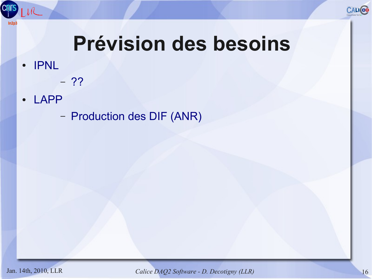

#### **Prévision des besoins**

● IPNL

**Cnr** 

 $ln2<sub>c</sub>$ 

- ??
- LAPP
	- Production des DIF (ANR)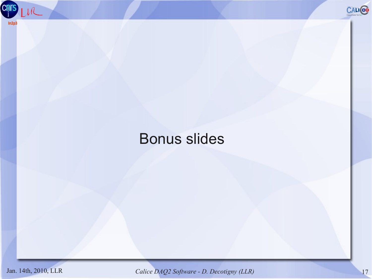



#### Bonus slides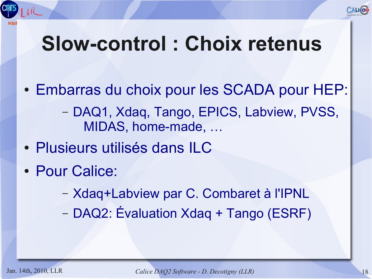

#### **Slow-control : Choix retenus**

- Embarras du choix pour les SCADA pour HEP:
	- DAQ1, Xdaq, Tango, EPICS, Labview, PVSS, MIDAS, home-made, …
- Plusieurs utilisés dans ILC
- Pour Calice:
	- Xdaq+Labview par C. Combaret à l'IPNL
	- DAQ2: Évaluation Xdaq + Tango (ESRF)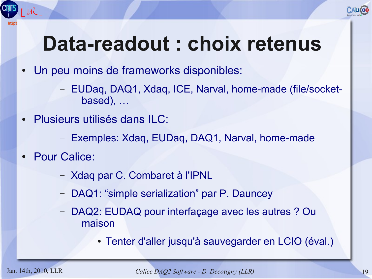## **Data-readout : choix retenus**

- Un peu moins de frameworks disponibles:
	- EUDaq, DAQ1, Xdaq, ICE, Narval, home-made (file/socketbased), …
- Plusieurs utilisés dans ILC:
	- Exemples: Xdaq, EUDaq, DAQ1, Narval, home-made
- **Pour Calice:** 
	- Xdaq par C. Combaret à l'IPNL
	- DAQ1: "simple serialization" par P. Dauncey
	- DAQ2: EUDAQ pour interfaçage avec les autres ? Ou maison
		- Tenter d'aller jusqu'à sauvegarder en LCIO (éval.)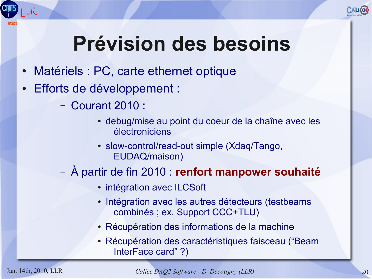

## **Prévision des besoins**

- Matériels : PC, carte ethernet optique
- Efforts de développement :
	- Courant 2010 :
		- debug/mise au point du coeur de la chaîne avec les électroniciens
		- slow-control/read-out simple (Xdaq/Tango, EUDAQ/maison)
	- À partir de fin 2010 : **renfort manpower souhaité**
		- intégration avec ILCSoft
		- Intégration avec les autres détecteurs (testbeams combinés ; ex. Support CCC+TLU)
		- Récupération des informations de la machine
		- Récupération des caractéristiques faisceau ("Beam InterFace card" ?)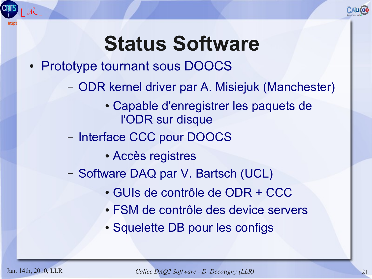

#### **Status Software**

#### • Prototype tournant sous DOOCS

- ODR kernel driver par A. Misiejuk (Manchester)
	- Capable d'enregistrer les paquets de l'ODR sur disque
- Interface CCC pour DOOCS
	- Accès registres
- Software DAQ par V. Bartsch (UCL)
	- GUIs de contrôle de ODR + CCC
	- FSM de contrôle des device servers
	- Squelette DB pour les configs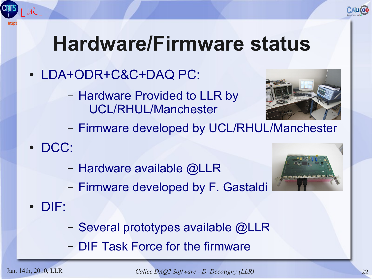# **Hardware/Firmware status**

- LDA+ODR+C&C+DAQ PC:
	- Hardware Provided to LLR by UCL/RHUL/Manchester



- Firmware developed by UCL/RHUL/Manchester
- DCC:
	- Hardware available @LLR
	- Firmware developed by F. Gastaldi
- DIF:
	- Several prototypes available @LLR
	- DIF Task Force for the firmware

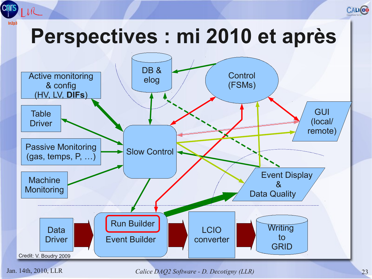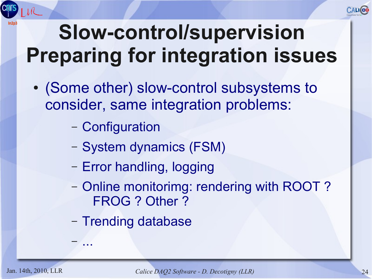

### **Slow-control/supervision Preparing for integration issues**

- (Some other) slow-control subsystems to consider, same integration problems:
	- Configuration
	- System dynamics (FSM)
	- Error handling, logging
	- Online monitorimg: rendering with ROOT ? FROG ? Other ?
	- Trending database

– ...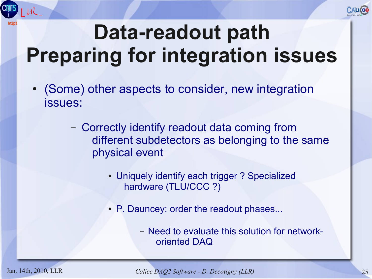



- (Some) other aspects to consider, new integration issues:
	- Correctly identify readout data coming from different subdetectors as belonging to the same physical event
		- Uniquely identify each trigger ? Specialized hardware (TLU/CCC ?)
		- P. Dauncey: order the readout phases...
			- Need to evaluate this solution for networkoriented DAQ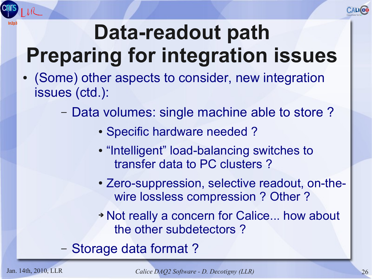

### **Data-readout path Preparing for integration issues**

- (Some) other aspects to consider, new integration issues (ctd.):
	- Data volumes: single machine able to store ?
		- Specific hardware needed?
		- "Intelligent" load-balancing switches to transfer data to PC clusters ?
		- Zero-suppression, selective readout, on-thewire lossless compression ? Other ?
		- ➔ Not really a concern for Calice... how about the other subdetectors ?
	- Storage data format ?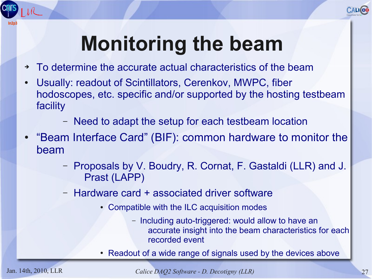

#### **Monitoring the beam**

- ➔ To determine the accurate actual characteristics of the beam
- Usually: readout of Scintillators, Cerenkov, MWPC, fiber hodoscopes, etc. specific and/or supported by the hosting testbeam facility
	- Need to adapt the setup for each testbeam location
- "Beam Interface Card" (BIF): common hardware to monitor the beam
	- Proposals by V. Boudry, R. Cornat, F. Gastaldi (LLR) and J. Prast (LAPP)
	- Hardware card + associated driver software
		- Compatible with the ILC acquisition modes
			- Including auto-triggered: would allow to have an accurate insight into the beam characteristics for each recorded event
		- Readout of a wide range of signals used by the devices above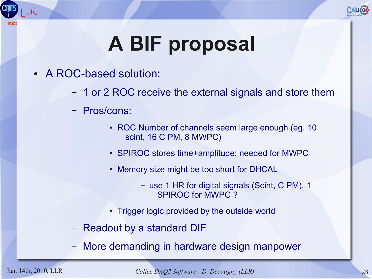

## **A BIF proposal**

- A ROC-based solution:
	- 1 or 2 ROC receive the external signals and store them
	- Pros/cons:
		- ROC Number of channels seem large enough (eg. 10) scint, 16 C PM, 8 MWPC)
		- SPIROC stores time+amplitude: needed for MWPC
		- Memory size might be too short for DHCAL
			- use 1 HR for digital signals (Scint, C PM), 1 SPIROC for MWPC ?
		- Trigger logic provided by the outside world
	- Readout by a standard DIF
	- More demanding in hardware design manpower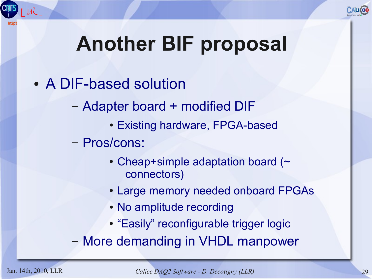

## **Another BIF proposal**

- A DIF-based solution
	- Adapter board + modified DIF
		- Existing hardware, FPGA-based
	- Pros/cons:
		- $\cdot$  Cheap+simple adaptation board ( $\sim$ connectors)
		- Large memory needed onboard FPGAs
		- No amplitude recording
		- "Easily" reconfigurable trigger logic

– More demanding in VHDL manpower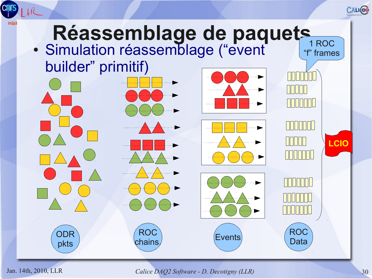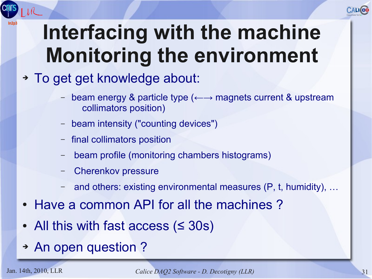# **Interfacing with the machine Monitoring the environment**

- ➔ To get get knowledge about:
	- beam energy & particle type (←→ magnets current & upstream collimators position)
	- beam intensity ("counting devices")
	- final collimators position
	- beam profile (monitoring chambers histograms)
	- Cherenkov pressure
	- and others: existing environmental measures (P, t, humidity), ...
- Have a common API for all the machines?
- All this with fast access  $($
- ➔ An open question ?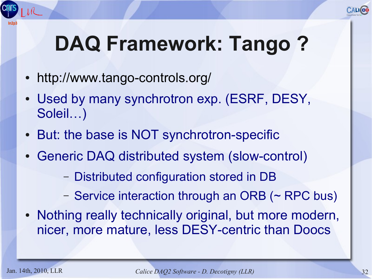## **DAQ Framework: Tango ?**

- <http://www.tango-controls.org/>
- Used by many synchrotron exp. (ESRF, DESY, Soleil…)
- But: the base is NOT synchrotron-specific
- Generic DAQ distributed system (slow-control)
	- Distributed configuration stored in DB
	- Service interaction through an ORB (~ RPC bus)
- Nothing really technically original, but more modern, nicer, more mature, less DESY-centric than Doocs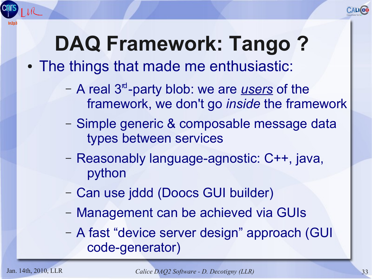

## **DAQ Framework: Tango ?**

#### • The things that made me enthusiastic:

- A real 3<sup><sup>d</sup>-party blob: we are <u>users</u> of the</sup> framework, we don't go *inside* the framework
- Simple generic & composable message data types between services
- Reasonably language-agnostic: C++, java, python
- Can use jddd (Doocs GUI builder)
- Management can be achieved via GUIs
- A fast "device server design" approach (GUI code-generator)